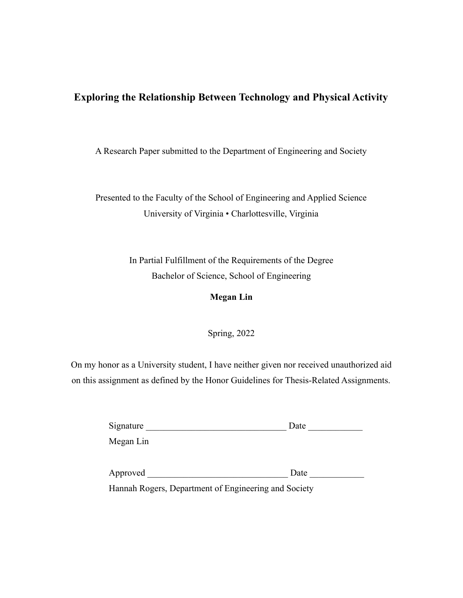# **Exploring the Relationship Between Technology and Physical Activity**

A Research Paper submitted to the Department of Engineering and Society

Presented to the Faculty of the School of Engineering and Applied Science University of Virginia • Charlottesville, Virginia

> In Partial Fulfillment of the Requirements of the Degree Bachelor of Science, School of Engineering

# **Megan Lin**

Spring, 2022

On my honor as a University student, I have neither given nor received unauthorized aid on this assignment as defined by the Honor Guidelines for Thesis-Related Assignments.

| Signature                                            | Date |  |  |  |  |
|------------------------------------------------------|------|--|--|--|--|
| Megan Lin                                            |      |  |  |  |  |
| Approved                                             | Date |  |  |  |  |
| Honnah Degare, Department of Engineering and Seciety |      |  |  |  |  |

Hannah Rogers, Department of Engineering and Society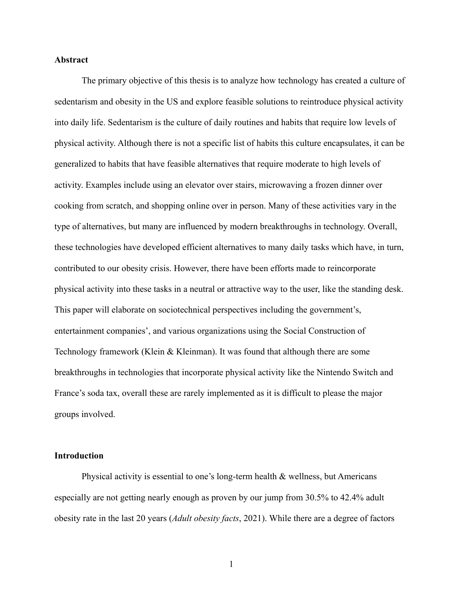## **Abstract**

The primary objective of this thesis is to analyze how technology has created a culture of sedentarism and obesity in the US and explore feasible solutions to reintroduce physical activity into daily life. Sedentarism is the culture of daily routines and habits that require low levels of physical activity. Although there is not a specific list of habits this culture encapsulates, it can be generalized to habits that have feasible alternatives that require moderate to high levels of activity. Examples include using an elevator over stairs, microwaving a frozen dinner over cooking from scratch, and shopping online over in person. Many of these activities vary in the type of alternatives, but many are influenced by modern breakthroughs in technology. Overall, these technologies have developed efficient alternatives to many daily tasks which have, in turn, contributed to our obesity crisis. However, there have been efforts made to reincorporate physical activity into these tasks in a neutral or attractive way to the user, like the standing desk. This paper will elaborate on sociotechnical perspectives including the government's, entertainment companies', and various organizations using the Social Construction of Technology framework (Klein & Kleinman). It was found that although there are some breakthroughs in technologies that incorporate physical activity like the Nintendo Switch and France's soda tax, overall these are rarely implemented as it is difficult to please the major groups involved.

## **Introduction**

Physical activity is essential to one's long-term health  $\&$  wellness, but Americans especially are not getting nearly enough as proven by our jump from 30.5% to 42.4% adult obesity rate in the last 20 years (*Adult obesity facts*, 2021). While there are a degree of factors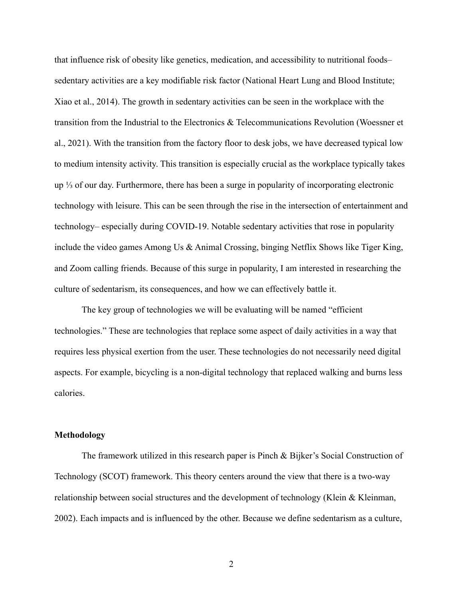that influence risk of obesity like genetics, medication, and accessibility to nutritional foods– sedentary activities are a key modifiable risk factor (National Heart Lung and Blood Institute; Xiao et al., 2014). The growth in sedentary activities can be seen in the workplace with the transition from the Industrial to the Electronics & Telecommunications Revolution (Woessner et al., 2021). With the transition from the factory floor to desk jobs, we have decreased typical low to medium intensity activity. This transition is especially crucial as the workplace typically takes up ⅓ of our day. Furthermore, there has been a surge in popularity of incorporating electronic technology with leisure. This can be seen through the rise in the intersection of entertainment and technology– especially during COVID-19. Notable sedentary activities that rose in popularity include the video games Among Us & Animal Crossing, binging Netflix Shows like Tiger King, and Zoom calling friends. Because of this surge in popularity, I am interested in researching the culture of sedentarism, its consequences, and how we can effectively battle it.

The key group of technologies we will be evaluating will be named "efficient technologies." These are technologies that replace some aspect of daily activities in a way that requires less physical exertion from the user. These technologies do not necessarily need digital aspects. For example, bicycling is a non-digital technology that replaced walking and burns less calories.

## **Methodology**

The framework utilized in this research paper is Pinch & Bijker's Social Construction of Technology (SCOT) framework. This theory centers around the view that there is a two-way relationship between social structures and the development of technology (Klein & Kleinman, 2002). Each impacts and is influenced by the other. Because we define sedentarism as a culture,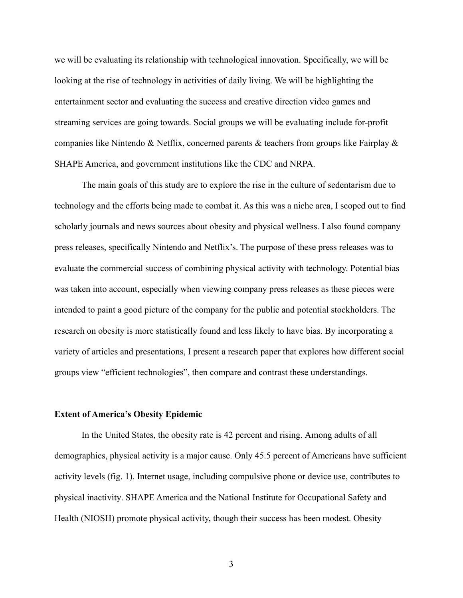we will be evaluating its relationship with technological innovation. Specifically, we will be looking at the rise of technology in activities of daily living. We will be highlighting the entertainment sector and evaluating the success and creative direction video games and streaming services are going towards. Social groups we will be evaluating include for-profit companies like Nintendo & Netflix, concerned parents & teachers from groups like Fairplay & SHAPE America, and government institutions like the CDC and NRPA.

The main goals of this study are to explore the rise in the culture of sedentarism due to technology and the efforts being made to combat it. As this was a niche area, I scoped out to find scholarly journals and news sources about obesity and physical wellness. I also found company press releases, specifically Nintendo and Netflix's. The purpose of these press releases was to evaluate the commercial success of combining physical activity with technology. Potential bias was taken into account, especially when viewing company press releases as these pieces were intended to paint a good picture of the company for the public and potential stockholders. The research on obesity is more statistically found and less likely to have bias. By incorporating a variety of articles and presentations, I present a research paper that explores how different social groups view "efficient technologies", then compare and contrast these understandings.

#### **Extent of America's Obesity Epidemic**

In the United States, the obesity rate is 42 percent and rising. Among adults of all demographics, physical activity is a major cause. Only 45.5 percent of Americans have sufficient activity levels (fig. 1). Internet usage, including compulsive phone or device use, contributes to physical inactivity. SHAPE America and the National Institute for Occupational Safety and Health (NIOSH) promote physical activity, though their success has been modest. Obesity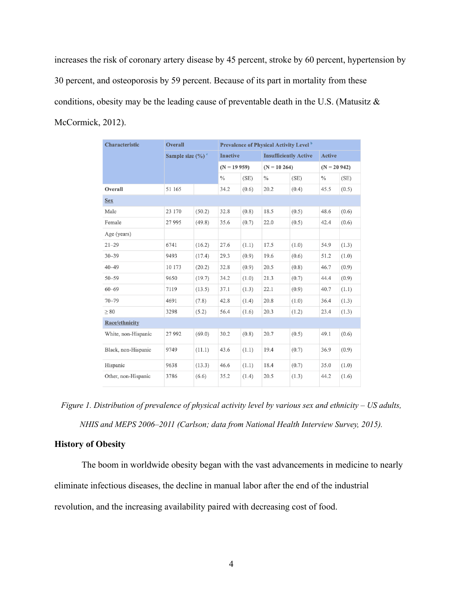increases the risk of coronary artery disease by 45 percent, stroke by 60 percent, hypertension by 30 percent, and osteoporosis by 59 percent. Because of its part in mortality from these conditions, obesity may be the leading cause of preventable death in the U.S. (Matusitz & McCormick, 2012).

| <b>Characteristic</b> | <b>Overall</b>                  |        | <b>Prevalence of Physical Activity Level</b> <sup>b</sup> |       |                              |       |               |       |  |  |
|-----------------------|---------------------------------|--------|-----------------------------------------------------------|-------|------------------------------|-------|---------------|-------|--|--|
|                       | Sample size $(\%)$ <sup>c</sup> |        | <b>Inactive</b>                                           |       | <b>Insufficiently Active</b> |       | <b>Active</b> |       |  |  |
|                       |                                 |        | $(N = 19959)$                                             |       | $(N = 10264)$                |       | $(N = 20942)$ |       |  |  |
|                       |                                 |        | $\frac{0}{0}$                                             | (SE)  | $\frac{0}{0}$                | (SE)  | $\frac{0}{0}$ | (SE)  |  |  |
| Overall               | 51 165                          |        | 34.2                                                      | (0.6) | 20.2                         | (0.4) | 45.5          | (0.5) |  |  |
| <b>Sex</b>            |                                 |        |                                                           |       |                              |       |               |       |  |  |
| Male                  | 23 170                          | (50.2) | 32.8                                                      | (0.8) | 18.5                         | (0.5) | 48.6          | (0.6) |  |  |
| Female                | 27 995                          | (49.8) | 35.6                                                      | (0.7) | 22.0                         | (0.5) | 42.4          | (0.6) |  |  |
| Age (years)           |                                 |        |                                                           |       |                              |       |               |       |  |  |
| $21 - 29$             | 6741                            | (16.2) | 27.6                                                      | (1.1) | 17.5                         | (1.0) | 54.9          | (1.3) |  |  |
| $30 - 39$             | 9493                            | (17.4) | 29.3                                                      | (0.9) | 19.6                         | (0.6) | 51.2          | (1.0) |  |  |
| $40 - 49$             | 10 173                          | (20.2) | 32.8                                                      | (0.9) | 20.5                         | (0.8) | 46.7          | (0.9) |  |  |
| $50 - 59$             | 9650                            | (19.7) | 34.2                                                      | (1.0) | 21.3                         | (0.7) | 44.4          | (0.9) |  |  |
| $60 - 69$             | 7119                            | (13.5) | 37.1                                                      | (1.3) | 22.1                         | (0.9) | 40.7          | (1.1) |  |  |
| $70 - 79$             | 4691                            | (7.8)  | 42.8                                                      | (1.4) | 20.8                         | (1.0) | 36.4          | (1.3) |  |  |
| $\geq 80$             | 3298                            | (5.2)  | 56.4                                                      | (1.6) | 20.3                         | (1.2) | 23.4          | (1.3) |  |  |
| Race/ethnicity        |                                 |        |                                                           |       |                              |       |               |       |  |  |
| White, non-Hispanic   | 27 992                          | (69.0) | 30.2                                                      | (0.8) | 20.7                         | (0.5) | 49.1          | (0.6) |  |  |
| Black, non-Hispanic   | 9749                            | (11.1) | 43.6                                                      | (1.1) | 19.4                         | (0.7) | 36.9          | (0.9) |  |  |
| Hispanic              | 9638                            | (13.3) | 46.6                                                      | (1.1) | 18.4                         | (0.7) | 35.0          | (1.0) |  |  |
| Other, non-Hispanic   | 3786                            | (6.6)  | 35.2                                                      | (1.4) | 20.5                         | (1.3) | 44.2          | (1.6) |  |  |

*Figure 1. Distribution of prevalence of physical activity level by various sex and ethnicity – US adults, NHIS and MEPS 2006–2011 (Carlson; data from National Health Interview Survey, 2015).*

## **History of Obesity**

The boom in worldwide obesity began with the vast advancements in medicine to nearly eliminate infectious diseases, the decline in manual labor after the end of the industrial revolution, and the increasing availability paired with decreasing cost of food.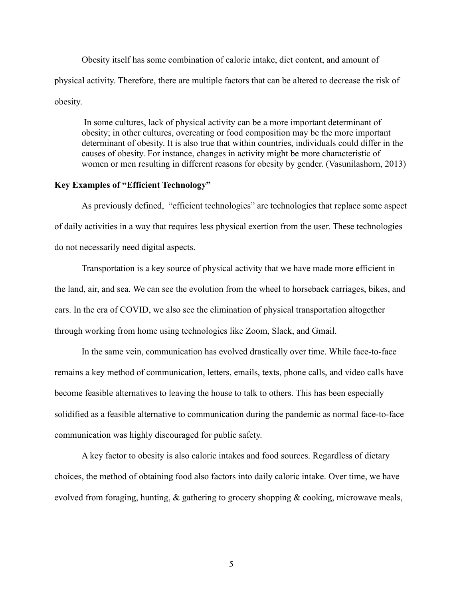Obesity itself has some combination of calorie intake, diet content, and amount of physical activity. Therefore, there are multiple factors that can be altered to decrease the risk of obesity.

In some cultures, lack of physical activity can be a more important determinant of obesity; in other cultures, overeating or food composition may be the more important determinant of obesity. It is also true that within countries, individuals could differ in the causes of obesity. For instance, changes in activity might be more characteristic of women or men resulting in different reasons for obesity by gender. (Vasunilashorn, 2013)

## **Key Examples of "Efficient Technology"**

As previously defined, "efficient technologies" are technologies that replace some aspect of daily activities in a way that requires less physical exertion from the user. These technologies do not necessarily need digital aspects.

Transportation is a key source of physical activity that we have made more efficient in the land, air, and sea. We can see the evolution from the wheel to horseback carriages, bikes, and cars. In the era of COVID, we also see the elimination of physical transportation altogether through working from home using technologies like Zoom, Slack, and Gmail.

In the same vein, communication has evolved drastically over time. While face-to-face remains a key method of communication, letters, emails, texts, phone calls, and video calls have become feasible alternatives to leaving the house to talk to others. This has been especially solidified as a feasible alternative to communication during the pandemic as normal face-to-face communication was highly discouraged for public safety.

A key factor to obesity is also caloric intakes and food sources. Regardless of dietary choices, the method of obtaining food also factors into daily caloric intake. Over time, we have evolved from foraging, hunting, & gathering to grocery shopping & cooking, microwave meals,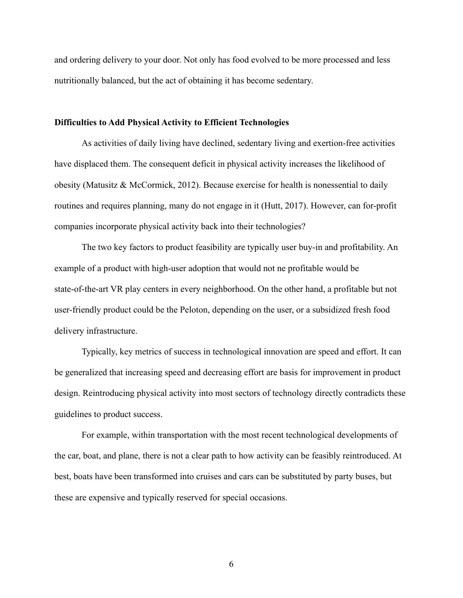and ordering delivery to your door. Not only has food evolved to be more processed and less nutritionally balanced, but the act of obtaining it has become sedentary.

#### **Difficulties to Add Physical Activity to Efficient Technologies**

As activities of daily living have declined, sedentary living and exertion-free activities have displaced them. The consequent deficit in physical activity increases the likelihood of obesity (Matusitz & McCormick, 2012). Because exercise for health is nonessential to daily routines and requires planning, many do not engage in it (Hutt, 2017). However, can for-profit companies incorporate physical activity back into their technologies?

The two key factors to product feasibility are typically user buy-in and profitability. An example of a product with high-user adoption that would not ne profitable would be state-of-the-art VR play centers in every neighborhood. On the other hand, a profitable but not user-friendly product could be the Peloton, depending on the user, or a subsidized fresh food delivery infrastructure.

Typically, key metrics of success in technological innovation are speed and effort. It can be generalized that increasing speed and decreasing effort are basis for improvement in product design. Reintroducing physical activity into most sectors of technology directly contradicts these guidelines to product success.

For example, within transportation with the most recent technological developments of the car, boat, and plane, there is not a clear path to how activity can be feasibly reintroduced. At best, boats have been transformed into cruises and cars can be substituted by party buses, but these are expensive and typically reserved for special occasions.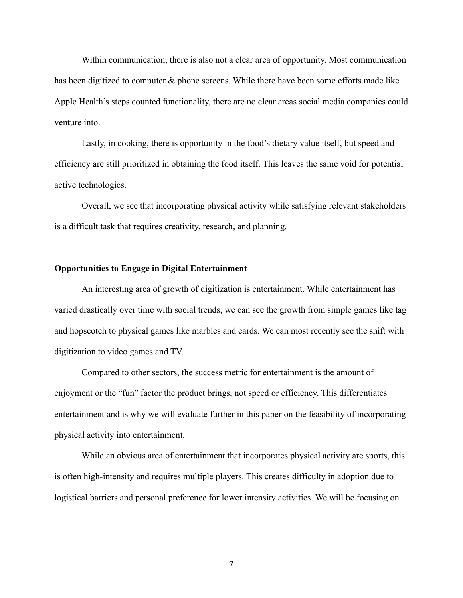Within communication, there is also not a clear area of opportunity. Most communication has been digitized to computer & phone screens. While there have been some efforts made like Apple Health's steps counted functionality, there are no clear areas social media companies could venture into.

Lastly, in cooking, there is opportunity in the food's dietary value itself, but speed and efficiency are still prioritized in obtaining the food itself. This leaves the same void for potential active technologies.

Overall, we see that incorporating physical activity while satisfying relevant stakeholders is a difficult task that requires creativity, research, and planning.

#### **Opportunities to Engage in Digital Entertainment**

An interesting area of growth of digitization is entertainment. While entertainment has varied drastically over time with social trends, we can see the growth from simple games like tag and hopscotch to physical games like marbles and cards. We can most recently see the shift with digitization to video games and TV.

Compared to other sectors, the success metric for entertainment is the amount of enjoyment or the "fun" factor the product brings, not speed or efficiency. This differentiates entertainment and is why we will evaluate further in this paper on the feasibility of incorporating physical activity into entertainment.

While an obvious area of entertainment that incorporates physical activity are sports, this is often high-intensity and requires multiple players. This creates difficulty in adoption due to logistical barriers and personal preference for lower intensity activities. We will be focusing on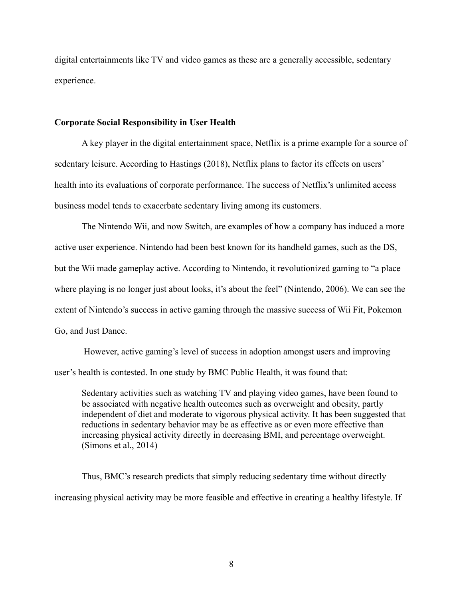digital entertainments like TV and video games as these are a generally accessible, sedentary experience.

#### **Corporate Social Responsibility in User Health**

A key player in the digital entertainment space, Netflix is a prime example for a source of sedentary leisure. According to Hastings (2018), Netflix plans to factor its effects on users' health into its evaluations of corporate performance. The success of Netflix's unlimited access business model tends to exacerbate sedentary living among its customers.

The Nintendo Wii, and now Switch, are examples of how a company has induced a more active user experience. Nintendo had been best known for its handheld games, such as the DS, but the Wii made gameplay active. According to Nintendo, it revolutionized gaming to "a place where playing is no longer just about looks, it's about the feel" (Nintendo, 2006). We can see the extent of Nintendo's success in active gaming through the massive success of Wii Fit, Pokemon Go, and Just Dance.

However, active gaming's level of success in adoption amongst users and improving user's health is contested. In one study by BMC Public Health, it was found that:

Sedentary activities such as watching TV and playing video games, have been found to be associated with negative health outcomes such as overweight and obesity, partly independent of diet and moderate to vigorous physical activity. It has been suggested that reductions in sedentary behavior may be as effective as or even more effective than increasing physical activity directly in decreasing BMI, and percentage overweight. (Simons et al., 2014)

Thus, BMC's research predicts that simply reducing sedentary time without directly increasing physical activity may be more feasible and effective in creating a healthy lifestyle. If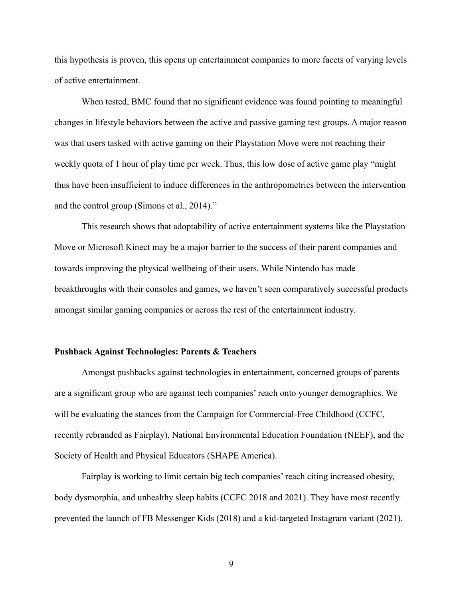this hypothesis is proven, this opens up entertainment companies to more facets of varying levels of active entertainment.

When tested, BMC found that no significant evidence was found pointing to meaningful changes in lifestyle behaviors between the active and passive gaming test groups. A major reason was that users tasked with active gaming on their Playstation Move were not reaching their weekly quota of 1 hour of play time per week. Thus, this low dose of active game play "might thus have been insufficient to induce differences in the anthropometrics between the intervention and the control group (Simons et al., 2014)."

This research shows that adoptability of active entertainment systems like the Playstation Move or Microsoft Kinect may be a major barrier to the success of their parent companies and towards improving the physical wellbeing of their users. While Nintendo has made breakthroughs with their consoles and games, we haven't seen comparatively successful products amongst similar gaming companies or across the rest of the entertainment industry.

## **Pushback Against Technologies: Parents & Teachers**

Amongst pushbacks against technologies in entertainment, concerned groups of parents are a significant group who are against tech companies' reach onto younger demographics. We will be evaluating the stances from the Campaign for Commercial-Free Childhood (CCFC, recently rebranded as Fairplay), National Environmental Education Foundation (NEEF), and the Society of Health and Physical Educators (SHAPE America).

Fairplay is working to limit certain big tech companies' reach citing increased obesity, body dysmorphia, and unhealthy sleep habits (CCFC 2018 and 2021). They have most recently prevented the launch of FB Messenger Kids (2018) and a kid-targeted Instagram variant (2021).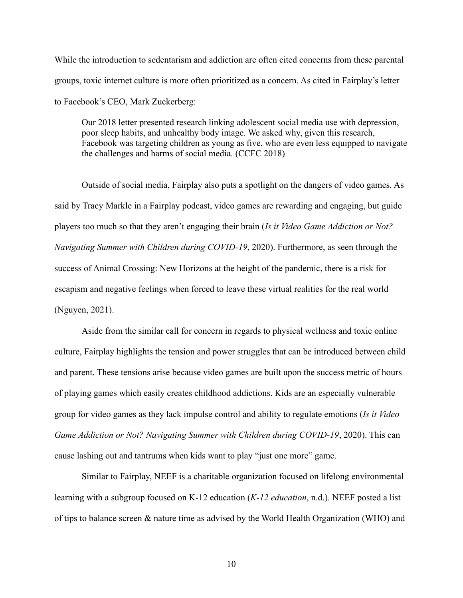While the introduction to sedentarism and addiction are often cited concerns from these parental groups, toxic internet culture is more often prioritized as a concern. As cited in Fairplay's letter to Facebook's CEO, Mark Zuckerberg:

Our 2018 letter presented research linking adolescent social media use with depression, poor sleep habits, and unhealthy body image. We asked why, given this research, Facebook was targeting children as young as five, who are even less equipped to navigate the challenges and harms of social media. (CCFC 2018)

Outside of social media, Fairplay also puts a spotlight on the dangers of video games. As said by Tracy Markle in a Fairplay podcast, video games are rewarding and engaging, but guide players too much so that they aren't engaging their brain (*Is it Video Game Addiction or Not? Navigating Summer with Children during COVID-19*, 2020). Furthermore, as seen through the success of Animal Crossing: New Horizons at the height of the pandemic, there is a risk for escapism and negative feelings when forced to leave these virtual realities for the real world (Nguyen, 2021).

Aside from the similar call for concern in regards to physical wellness and toxic online culture, Fairplay highlights the tension and power struggles that can be introduced between child and parent. These tensions arise because video games are built upon the success metric of hours of playing games which easily creates childhood addictions. Kids are an especially vulnerable group for video games as they lack impulse control and ability to regulate emotions (*Is it Video Game Addiction or Not? Navigating Summer with Children during COVID-19*, 2020). This can cause lashing out and tantrums when kids want to play "just one more" game.

Similar to Fairplay, NEEF is a charitable organization focused on lifelong environmental learning with a subgroup focused on K-12 education (*K-12 education*, n.d.). NEEF posted a list of tips to balance screen & nature time as advised by the World Health Organization (WHO) and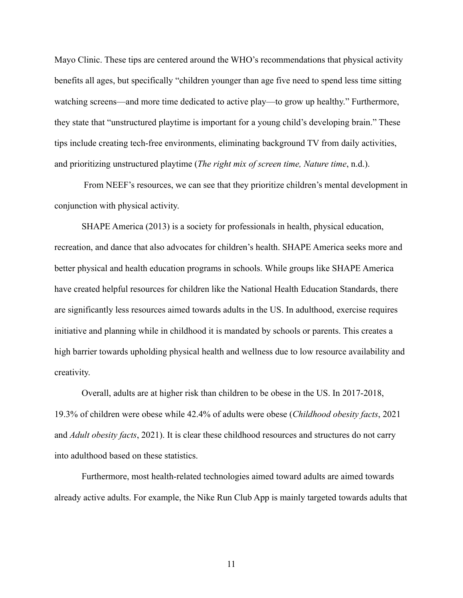Mayo Clinic. These tips are centered around the WHO's recommendations that physical activity benefits all ages, but specifically "children younger than age five need to spend less time sitting watching screens—and more time dedicated to active play—to grow up healthy." Furthermore, they state that "unstructured playtime is important for a young child's developing brain." These tips include creating tech-free environments, eliminating background TV from daily activities, and prioritizing unstructured playtime (*The right mix of screen time, Nature time*, n.d.).

From NEEF's resources, we can see that they prioritize children's mental development in conjunction with physical activity.

SHAPE America (2013) is a society for professionals in health, physical education, recreation, and dance that also advocates for children's health. SHAPE America seeks more and better physical and health education programs in schools. While groups like SHAPE America have created helpful resources for children like the National Health Education Standards, there are significantly less resources aimed towards adults in the US. In adulthood, exercise requires initiative and planning while in childhood it is mandated by schools or parents. This creates a high barrier towards upholding physical health and wellness due to low resource availability and creativity.

Overall, adults are at higher risk than children to be obese in the US. In 2017-2018, 19.3% of children were obese while 42.4% of adults were obese (*Childhood obesity facts*, 2021 and *Adult obesity facts*, 2021). It is clear these childhood resources and structures do not carry into adulthood based on these statistics.

Furthermore, most health-related technologies aimed toward adults are aimed towards already active adults. For example, the Nike Run Club App is mainly targeted towards adults that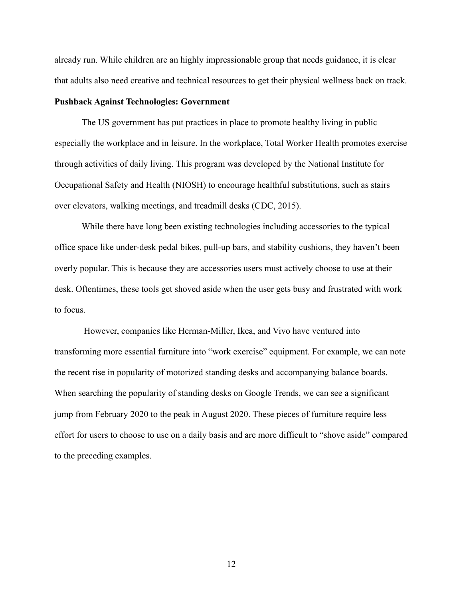already run. While children are an highly impressionable group that needs guidance, it is clear that adults also need creative and technical resources to get their physical wellness back on track.

#### **Pushback Against Technologies: Government**

The US government has put practices in place to promote healthy living in public– especially the workplace and in leisure. In the workplace, Total Worker Health promotes exercise through activities of daily living. This program was developed by the National Institute for Occupational Safety and Health (NIOSH) to encourage healthful substitutions, such as stairs over elevators, walking meetings, and treadmill desks (CDC, 2015).

While there have long been existing technologies including accessories to the typical office space like under-desk pedal bikes, pull-up bars, and stability cushions, they haven't been overly popular. This is because they are accessories users must actively choose to use at their desk. Oftentimes, these tools get shoved aside when the user gets busy and frustrated with work to focus.

However, companies like Herman-Miller, Ikea, and Vivo have ventured into transforming more essential furniture into "work exercise" equipment. For example, we can note the recent rise in popularity of motorized standing desks and accompanying balance boards. When searching the popularity of standing desks on Google Trends, we can see a significant jump from February 2020 to the peak in August 2020. These pieces of furniture require less effort for users to choose to use on a daily basis and are more difficult to "shove aside" compared to the preceding examples.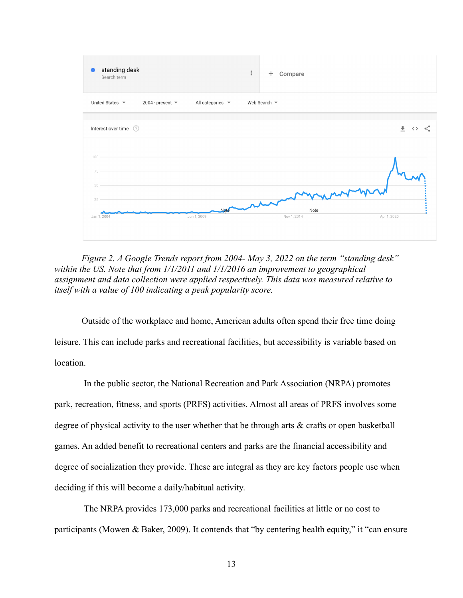

*Figure 2. A Google Trends report from 2004- May 3, 2022 on the term "standing desk" within the US. Note that from 1/1/2011 and 1/1/2016 an improvement to geographical assignment and data collection were applied respectively. This data was measured relative to itself with a value of 100 indicating a peak popularity score.*

Outside of the workplace and home, American adults often spend their free time doing leisure. This can include parks and recreational facilities, but accessibility is variable based on location.

In the public sector, the National Recreation and Park Association (NRPA) promotes park, recreation, fitness, and sports (PRFS) activities. Almost all areas of PRFS involves some degree of physical activity to the user whether that be through arts & crafts or open basketball games. An added benefit to recreational centers and parks are the financial accessibility and degree of socialization they provide. These are integral as they are key factors people use when deciding if this will become a daily/habitual activity.

The NRPA provides 173,000 parks and recreational facilities at little or no cost to participants (Mowen & Baker, 2009). It contends that "by centering health equity," it "can ensure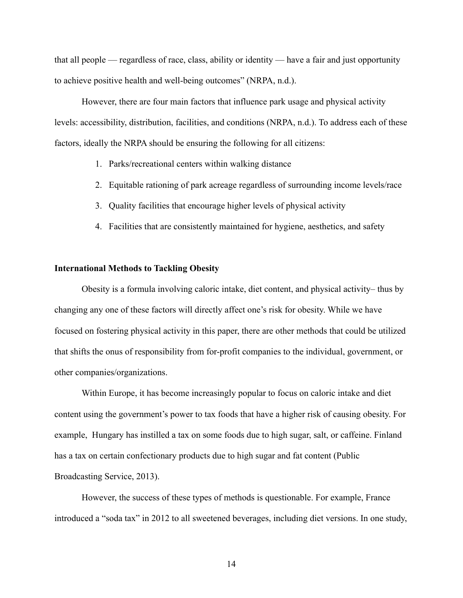that all people — regardless of race, class, ability or identity — have a fair and just opportunity to achieve positive health and well-being outcomes" (NRPA, n.d.).

However, there are four main factors that influence park usage and physical activity levels: accessibility, distribution, facilities, and conditions (NRPA, n.d.). To address each of these factors, ideally the NRPA should be ensuring the following for all citizens:

- 1. Parks/recreational centers within walking distance
- 2. Equitable rationing of park acreage regardless of surrounding income levels/race
- 3. Quality facilities that encourage higher levels of physical activity
- 4. Facilities that are consistently maintained for hygiene, aesthetics, and safety

#### **International Methods to Tackling Obesity**

Obesity is a formula involving caloric intake, diet content, and physical activity– thus by changing any one of these factors will directly affect one's risk for obesity. While we have focused on fostering physical activity in this paper, there are other methods that could be utilized that shifts the onus of responsibility from for-profit companies to the individual, government, or other companies/organizations.

Within Europe, it has become increasingly popular to focus on caloric intake and diet content using the government's power to tax foods that have a higher risk of causing obesity. For example, Hungary has instilled a tax on some foods due to high sugar, salt, or caffeine. Finland has a tax on certain confectionary products due to high sugar and fat content (Public Broadcasting Service, 2013).

However, the success of these types of methods is questionable. For example, France introduced a "soda tax" in 2012 to all sweetened beverages, including diet versions. In one study,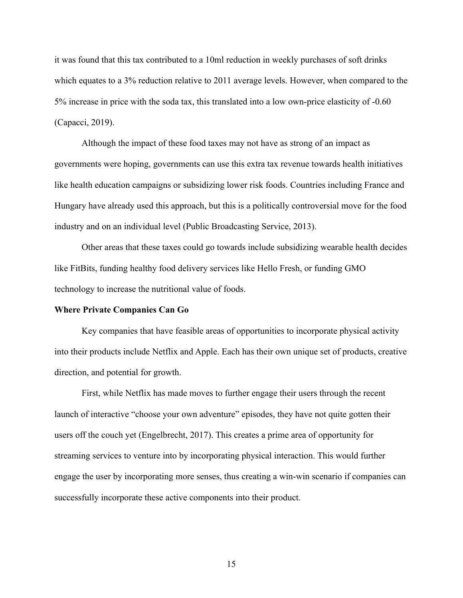it was found that this tax contributed to a 10ml reduction in weekly purchases of soft drinks which equates to a 3% reduction relative to 2011 average levels. However, when compared to the 5% increase in price with the soda tax, this translated into a low own-price elasticity of -0.60 (Capacci, 2019).

Although the impact of these food taxes may not have as strong of an impact as governments were hoping, governments can use this extra tax revenue towards health initiatives like health education campaigns or subsidizing lower risk foods. Countries including France and Hungary have already used this approach, but this is a politically controversial move for the food industry and on an individual level (Public Broadcasting Service, 2013).

Other areas that these taxes could go towards include subsidizing wearable health decides like FitBits, funding healthy food delivery services like Hello Fresh, or funding GMO technology to increase the nutritional value of foods.

#### **Where Private Companies Can Go**

Key companies that have feasible areas of opportunities to incorporate physical activity into their products include Netflix and Apple. Each has their own unique set of products, creative direction, and potential for growth.

First, while Netflix has made moves to further engage their users through the recent launch of interactive "choose your own adventure" episodes, they have not quite gotten their users off the couch yet (Engelbrecht, 2017). This creates a prime area of opportunity for streaming services to venture into by incorporating physical interaction. This would further engage the user by incorporating more senses, thus creating a win-win scenario if companies can successfully incorporate these active components into their product.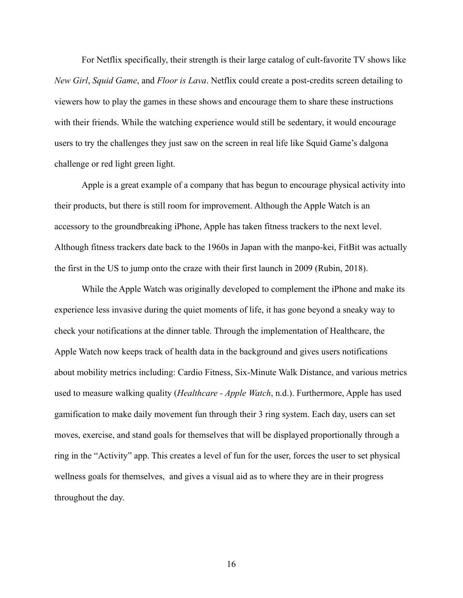For Netflix specifically, their strength is their large catalog of cult-favorite TV shows like *New Girl*, *Squid Game*, and *Floor is Lava*. Netflix could create a post-credits screen detailing to viewers how to play the games in these shows and encourage them to share these instructions with their friends. While the watching experience would still be sedentary, it would encourage users to try the challenges they just saw on the screen in real life like Squid Game's dalgona challenge or red light green light.

Apple is a great example of a company that has begun to encourage physical activity into their products, but there is still room for improvement. Although the Apple Watch is an accessory to the groundbreaking iPhone, Apple has taken fitness trackers to the next level. Although fitness trackers date back to the 1960s in Japan with the manpo-kei, FitBit was actually the first in the US to jump onto the craze with their first launch in 2009 (Rubin, 2018).

While the Apple Watch was originally developed to complement the iPhone and make its experience less invasive during the quiet moments of life, it has gone beyond a sneaky way to check your notifications at the dinner table. Through the implementation of Healthcare, the Apple Watch now keeps track of health data in the background and gives users notifications about mobility metrics including: Cardio Fitness, Six-Minute Walk Distance, and various metrics used to measure walking quality (*Healthcare - Apple Watch*, n.d.). Furthermore, Apple has used gamification to make daily movement fun through their 3 ring system. Each day, users can set moves, exercise, and stand goals for themselves that will be displayed proportionally through a ring in the "Activity" app. This creates a level of fun for the user, forces the user to set physical wellness goals for themselves, and gives a visual aid as to where they are in their progress throughout the day.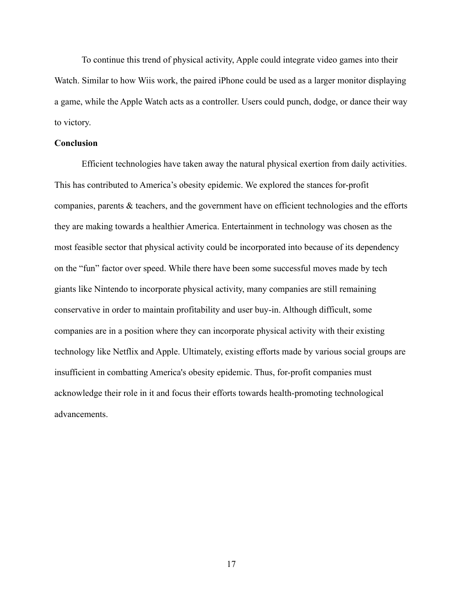To continue this trend of physical activity, Apple could integrate video games into their Watch. Similar to how Wiis work, the paired iPhone could be used as a larger monitor displaying a game, while the Apple Watch acts as a controller. Users could punch, dodge, or dance their way to victory.

# **Conclusion**

Efficient technologies have taken away the natural physical exertion from daily activities. This has contributed to America's obesity epidemic. We explored the stances for-profit companies, parents & teachers, and the government have on efficient technologies and the efforts they are making towards a healthier America. Entertainment in technology was chosen as the most feasible sector that physical activity could be incorporated into because of its dependency on the "fun" factor over speed. While there have been some successful moves made by tech giants like Nintendo to incorporate physical activity, many companies are still remaining conservative in order to maintain profitability and user buy-in. Although difficult, some companies are in a position where they can incorporate physical activity with their existing technology like Netflix and Apple. Ultimately, existing efforts made by various social groups are insufficient in combatting America's obesity epidemic. Thus, for-profit companies must acknowledge their role in it and focus their efforts towards health-promoting technological advancements.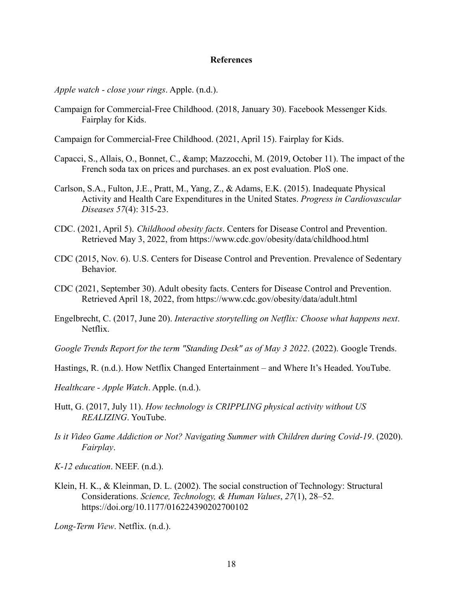#### **References**

*Apple watch - close your rings*. Apple. (n.d.).

- Campaign for Commercial-Free Childhood. (2018, January 30). Facebook Messenger Kids. Fairplay for Kids.
- Campaign for Commercial-Free Childhood. (2021, April 15). Fairplay for Kids.
- Capacci, S., Allais, O., Bonnet, C., & amp: Mazzocchi, M. (2019, October 11). The impact of the French soda tax on prices and purchases. an ex post evaluation. PloS one.
- Carlson, S.A., Fulton, J.E., Pratt, M., Yang, Z., & Adams, E.K. (2015). Inadequate Physical Activity and Health Care Expenditures in the United States. *Progress in Cardiovascular Diseases 57*(4): 315-23.
- CDC. (2021, April 5). *Childhood obesity facts*. Centers for Disease Control and Prevention. Retrieved May 3, 2022, from https://www.cdc.gov/obesity/data/childhood.html
- CDC (2015, Nov. 6). U.S. Centers for Disease Control and Prevention. Prevalence of Sedentary Behavior.
- CDC (2021, September 30). Adult obesity facts. Centers for Disease Control and Prevention. Retrieved April 18, 2022, from https://www.cdc.gov/obesity/data/adult.html
- Engelbrecht, C. (2017, June 20). *Interactive storytelling on Netflix: Choose what happens next*. Netflix.
- *Google Trends Report for the term "Standing Desk" as of May 3 2022*. (2022). Google Trends.
- Hastings, R. (n.d.). How Netflix Changed Entertainment and Where It's Headed. YouTube.
- *Healthcare Apple Watch*. Apple. (n.d.).
- Hutt, G. (2017, July 11). *How technology is CRIPPLING physical activity without US REALIZING*. YouTube.
- *Is it Video Game Addiction or Not? Navigating Summer with Children during Covid-19*. (2020). *Fairplay*.

*K-12 education*. NEEF. (n.d.).

Klein, H. K., & Kleinman, D. L. (2002). The social construction of Technology: Structural Considerations. *Science, Technology, & Human Values*, *27*(1), 28–52. https://doi.org/10.1177/016224390202700102

*Long-Term View*. Netflix. (n.d.).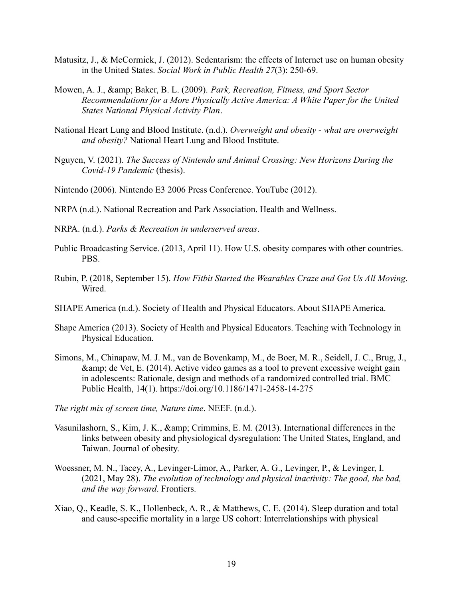- Matusitz, J., & McCormick, J. (2012). Sedentarism: the effects of Internet use on human obesity in the United States. *Social Work in Public Health 27*(3): 250-69.
- Mowen, A. J., & amp; Baker, B. L. (2009). Park, Recreation, Fitness, and Sport Sector *Recommendations for a More Physically Active America: A White Paper for the United States National Physical Activity Plan*.
- National Heart Lung and Blood Institute. (n.d.). *Overweight and obesity what are overweight and obesity?* National Heart Lung and Blood Institute.
- Nguyen, V. (2021). *The Success of Nintendo and Animal Crossing: New Horizons During the Covid-19 Pandemic* (thesis).
- Nintendo (2006). Nintendo E3 2006 Press Conference. YouTube (2012).
- NRPA (n.d.). National Recreation and Park Association. Health and Wellness.
- NRPA. (n.d.). *Parks & Recreation in underserved areas*.
- Public Broadcasting Service. (2013, April 11). How U.S. obesity compares with other countries. PBS.
- Rubin, P. (2018, September 15). *How Fitbit Started the Wearables Craze and Got Us All Moving*. Wired
- SHAPE America (n.d.). Society of Health and Physical Educators. About SHAPE America.
- Shape America (2013). Society of Health and Physical Educators. Teaching with Technology in Physical Education.
- Simons, M., Chinapaw, M. J. M., van de Bovenkamp, M., de Boer, M. R., Seidell, J. C., Brug, J.,  $\&$ amp; de Vet, E. (2014). Active video games as a tool to prevent excessive weight gain in adolescents: Rationale, design and methods of a randomized controlled trial. BMC Public Health, 14(1). https://doi.org/10.1186/1471-2458-14-275
- *The right mix of screen time, Nature time*. NEEF. (n.d.).
- Vasunilashorn, S., Kim, J. K., & amp; Crimmins, E. M. (2013). International differences in the links between obesity and physiological dysregulation: The United States, England, and Taiwan. Journal of obesity.
- Woessner, M. N., Tacey, A., Levinger-Limor, A., Parker, A. G., Levinger, P., & Levinger, I. (2021, May 28). *The evolution of technology and physical inactivity: The good, the bad, and the way forward*. Frontiers.
- Xiao, Q., Keadle, S. K., Hollenbeck, A. R., & Matthews, C. E. (2014). Sleep duration and total and cause-specific mortality in a large US cohort: Interrelationships with physical